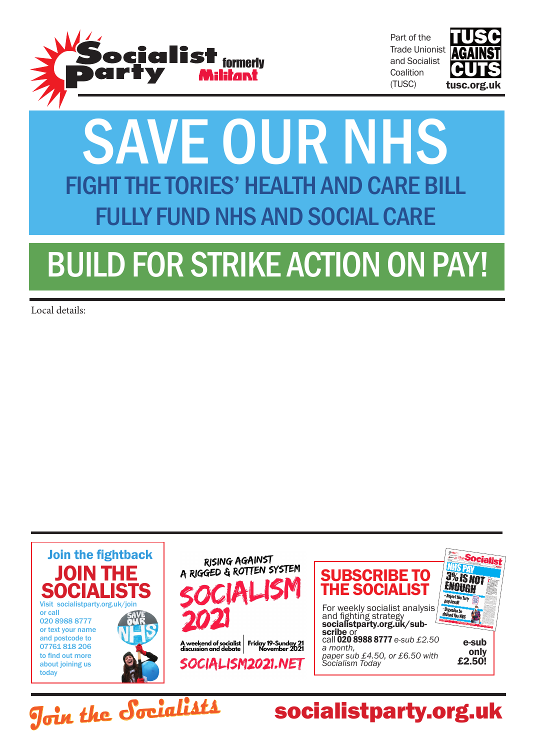

Part of the Trade Unionist and Socialist **Coalition** (TUSC)



## SAVE OUR NHS FIGHT THE TORIES' HEALTH AND CARE BILL FULLY FUND NHS AND SOCIAL CARE

# BUILD FOR STRIKE ACTION ON PAY!

Local details:

**Join the Socialists**



socialistparty.org.uk